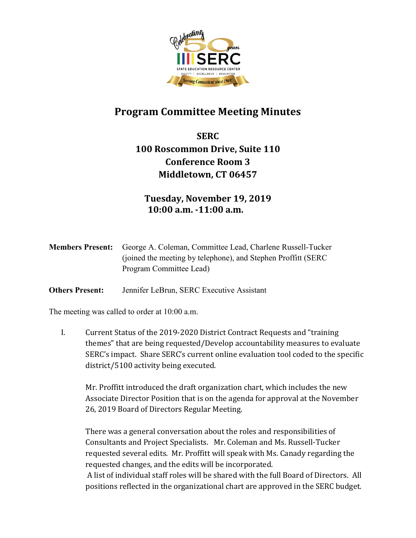

## **Program Committee Meeting Minutes**

**SERC 100 Roscommon Drive, Suite 110 Conference Room 3 Middletown, CT 06457**

**Tuesday, November 19, 2019 10:00 a.m. -11:00 a.m.**

| <b>Members Present:</b> | George A. Coleman, Committee Lead, Charlene Russell-Tucker     |
|-------------------------|----------------------------------------------------------------|
|                         | (joined the meeting by telephone), and Stephen Proffitt (SERC) |
|                         | Program Committee Lead)                                        |

**Others Present:** Jennifer LeBrun, SERC Executive Assistant

The meeting was called to order at 10:00 a.m.

I. Current Status of the 2019-2020 District Contract Requests and "training themes" that are being requested/Develop accountability measures to evaluate SERC's impact. Share SERC's current online evaluation tool coded to the specific district/5100 activity being executed.

Mr. Proffitt introduced the draft organization chart, which includes the new Associate Director Position that is on the agenda for approval at the November 26, 2019 Board of Directors Regular Meeting.

There was a general conversation about the roles and responsibilities of Consultants and Project Specialists. Mr. Coleman and Ms. Russell-Tucker requested several edits. Mr. Proffitt will speak with Ms. Canady regarding the requested changes, and the edits will be incorporated.

A list of individual staff roles will be shared with the full Board of Directors. All positions reflected in the organizational chart are approved in the SERC budget.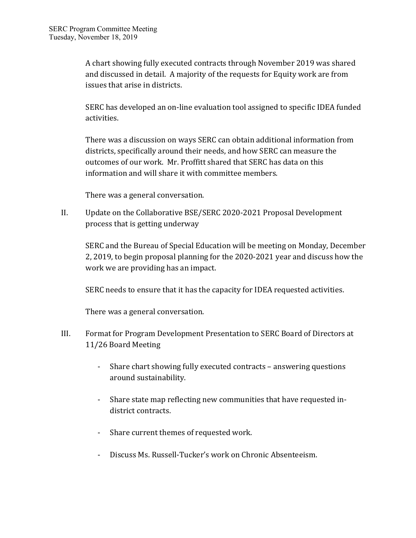A chart showing fully executed contracts through November 2019 was shared and discussed in detail. A majority of the requests for Equity work are from issues that arise in districts.

SERC has developed an on-line evaluation tool assigned to specific IDEA funded activities.

There was a discussion on ways SERC can obtain additional information from districts, specifically around their needs, and how SERC can measure the outcomes of our work. Mr. Proffitt shared that SERC has data on this information and will share it with committee members.

There was a general conversation.

II. Update on the Collaborative BSE/SERC 2020-2021 Proposal Development process that is getting underway

SERC and the Bureau of Special Education will be meeting on Monday, December 2, 2019, to begin proposal planning for the 2020-2021 year and discuss how the work we are providing has an impact.

SERC needs to ensure that it has the capacity for IDEA requested activities.

There was a general conversation.

- III. Format for Program Development Presentation to SERC Board of Directors at 11/26 Board Meeting
	- Share chart showing fully executed contracts answering questions around sustainability.
	- Share state map reflecting new communities that have requested indistrict contracts.
	- Share current themes of requested work.
	- Discuss Ms. Russell-Tucker's work on Chronic Absenteeism.